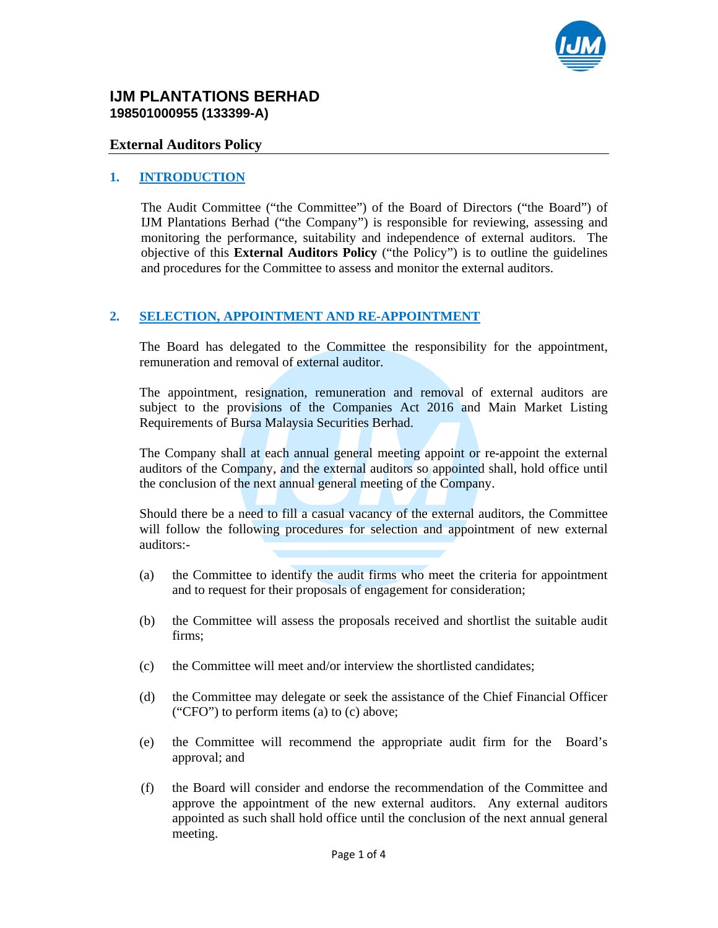

#### **IJM PLANTATIONS BERHAD 198501000955 (133399-A)**

#### **External Auditors Policy**

#### **1. INTRODUCTION**

The Audit Committee ("the Committee") of the Board of Directors ("the Board") of IJM Plantations Berhad ("the Company") is responsible for reviewing, assessing and monitoring the performance, suitability and independence of external auditors. The objective of this **External Auditors Policy** ("the Policy") is to outline the guidelines and procedures for the Committee to assess and monitor the external auditors.

#### **2. SELECTION, APPOINTMENT AND RE-APPOINTMENT**

The Board has delegated to the Committee the responsibility for the appointment, remuneration and removal of external auditor.

The appointment, resignation, remuneration and removal of external auditors are subject to the provisions of the Companies Act 2016 and Main Market Listing Requirements of Bursa Malaysia Securities Berhad.

The Company shall at each annual general meeting appoint or re-appoint the external auditors of the Company, and the external auditors so appointed shall, hold office until the conclusion of the next annual general meeting of the Company.

Should there be a need to fill a casual vacancy of the external auditors, the Committee will follow the following procedures for selection and appointment of new external auditors:-

- (a) the Committee to identify the audit firms who meet the criteria for appointment and to request for their proposals of engagement for consideration;
- (b) the Committee will assess the proposals received and shortlist the suitable audit firms;
- (c) the Committee will meet and/or interview the shortlisted candidates;
- (d) the Committee may delegate or seek the assistance of the Chief Financial Officer ("CFO") to perform items (a) to (c) above;
- (e) the Committee will recommend the appropriate audit firm for the Board's approval; and
- (f) the Board will consider and endorse the recommendation of the Committee and approve the appointment of the new external auditors. Any external auditors appointed as such shall hold office until the conclusion of the next annual general meeting.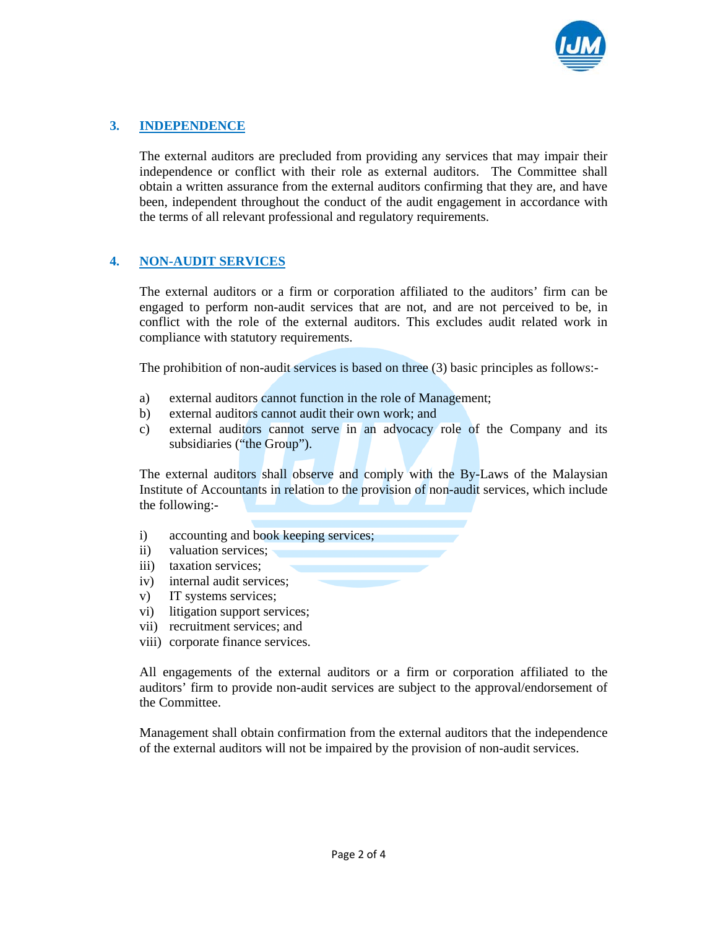

# **3. INDEPENDENCE**

The external auditors are precluded from providing any services that may impair their independence or conflict with their role as external auditors. The Committee shall obtain a written assurance from the external auditors confirming that they are, and have been, independent throughout the conduct of the audit engagement in accordance with the terms of all relevant professional and regulatory requirements.

# **4. NON-AUDIT SERVICES**

The external auditors or a firm or corporation affiliated to the auditors' firm can be engaged to perform non-audit services that are not, and are not perceived to be, in conflict with the role of the external auditors. This excludes audit related work in compliance with statutory requirements.

The prohibition of non-audit services is based on three (3) basic principles as follows:-

- a) external auditors cannot function in the role of Management;
- b) external auditors cannot audit their own work; and
- c) external auditors cannot serve in an advocacy role of the Company and its subsidiaries ("the Group").

The external auditors shall observe and comply with the By-Laws of the Malaysian Institute of Accountants in relation to the provision of non-audit services, which include the following:-

- i) accounting and book keeping services;
- ii) valuation services:
- iii) taxation services;
- iv) internal audit services;
- v) IT systems services;
- vi) litigation support services;
- vii) recruitment services; and
- viii) corporate finance services.

All engagements of the external auditors or a firm or corporation affiliated to the auditors' firm to provide non-audit services are subject to the approval/endorsement of the Committee.

Management shall obtain confirmation from the external auditors that the independence of the external auditors will not be impaired by the provision of non-audit services.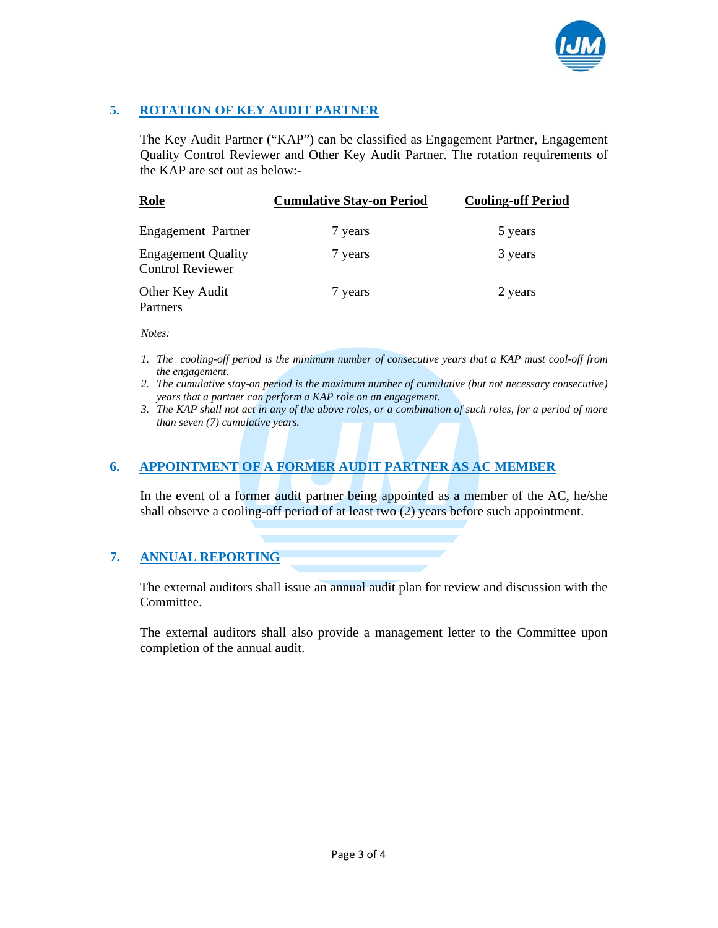

## **5. ROTATION OF KEY AUDIT PARTNER**

The Key Audit Partner ("KAP") can be classified as Engagement Partner, Engagement Quality Control Reviewer and Other Key Audit Partner. The rotation requirements of the KAP are set out as below:-

| Role                                                 | <b>Cumulative Stay-on Period</b> | <b>Cooling-off Period</b> |
|------------------------------------------------------|----------------------------------|---------------------------|
| Engagement Partner                                   | 7 years                          | 5 years                   |
| <b>Engagement Quality</b><br><b>Control Reviewer</b> | 7 years                          | 3 years                   |
| Other Key Audit<br>Partners                          | 7 years                          | 2 years                   |

*Notes:* 

- *1. The cooling-off period is the minimum number of consecutive years that a KAP must cool-off from the engagement.*
- *2. The cumulative stay-on period is the maximum number of cumulative (but not necessary consecutive) years that a partner can perform a KAP role on an engagement.*
- *3. The KAP shall not act in any of the above roles, or a combination of such roles, for a period of more than seven (7) cumulative years.*

## **6. APPOINTMENT OF A FORMER AUDIT PARTNER AS AC MEMBER**

In the event of a former audit partner being appointed as a member of the AC, he/she shall observe a cooling-off period of at least two (2) years before such appointment.

## **7. ANNUAL REPORTING**

The external auditors shall issue an annual audit plan for review and discussion with the Committee.

The external auditors shall also provide a management letter to the Committee upon completion of the annual audit.